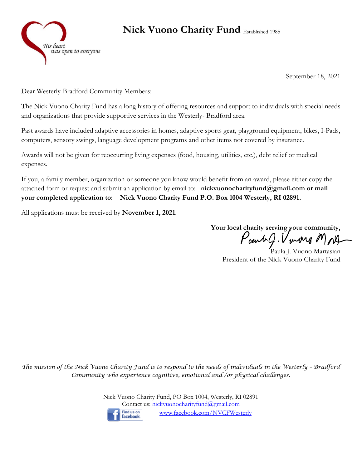

## **Nick Vuono Charity Fund** Established 1985

September 18, 2021

Dear Westerly-Bradford Community Members:

The Nick Vuono Charity Fund has a long history of offering resources and support to individuals with special needs and organizations that provide supportive services in the Westerly- Bradford area.

Past awards have included adaptive accessories in homes, adaptive sports gear, playground equipment, bikes, I-Pads, computers, sensory swings, language development programs and other items not covered by insurance.

Awards will not be given for reoccurring living expenses (food, housing, utilities, etc.), debt relief or medical expenses.

If you, a family member, organization or someone you know would benefit from an award, please either copy the attached form or request and submit an application by email to: n**ickvuonocharityfund@gmail.com or mail your completed application to: Nick Vuono Charity Fund P.O. Box 1004 Westerly, RI 02891.** 

All applications must be received by **November 1, 2021**.

**Your local charity serving your community,** Paul J. V uns MNJ

Paula J. Vuono Martasian President of the Nick Vuono Charity Fund

*The mission of the Nick Vuono Charity Fund is to respond to the needs of individuals in the Westerly - Bradford Community who experience cognitive, emotional and /or physical challenges.*

> Nick Vuono Charity Fund, PO Box 1004, Westerly, RI 02891 Contact us: [nickvuonocharityfund@gmail.com](mailto:nickvuonocharityfund@gmail.com) Find us on [www.facebook.com/NVCFWesterly](http://www.facebook.com/NVCFWesterly) facebook.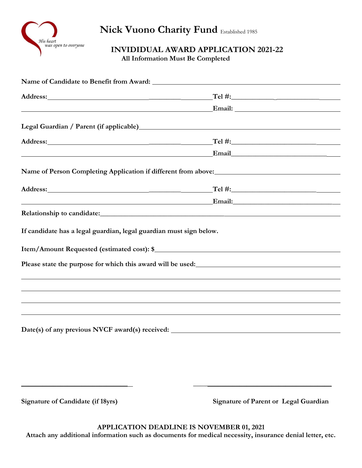

**Nick Vuono Charity Fund** Established 1985

**INVIDIDUAL AWARD APPLICATION 2021-22**

 **All Information Must Be Completed**

| <u> 1980 - Johann Barnett, fransk politiker (d. 1980)</u>                                                                                                                                                                                                                                                                                               | Email: No. 1996. The Commission of the Commission of the Commission of the Commission of the Commission of the Commission of the Commission of the Commission of the Commission of the Commission of the Commission of the Com |  |
|---------------------------------------------------------------------------------------------------------------------------------------------------------------------------------------------------------------------------------------------------------------------------------------------------------------------------------------------------------|--------------------------------------------------------------------------------------------------------------------------------------------------------------------------------------------------------------------------------|--|
|                                                                                                                                                                                                                                                                                                                                                         |                                                                                                                                                                                                                                |  |
| Address: Note and the contract of the contract of the contract of the contract of the contract of the contract of the contract of the contract of the contract of the contract of the contract of the contract of the contract<br><u> 1989 - Johann Barn, mars ann an t-Amhain an t-Amhain an t-Amhain an t-Amhain an t-Amhain an t-Amhain an t-Amh</u> | $\Gamma$ el #:                                                                                                                                                                                                                 |  |
|                                                                                                                                                                                                                                                                                                                                                         | Email <b>Email</b>                                                                                                                                                                                                             |  |
|                                                                                                                                                                                                                                                                                                                                                         | Name of Person Completing Application if different from above:                                                                                                                                                                 |  |
|                                                                                                                                                                                                                                                                                                                                                         | Address: Tel #: Tel #:                                                                                                                                                                                                         |  |
|                                                                                                                                                                                                                                                                                                                                                         | Email: Email:                                                                                                                                                                                                                  |  |
|                                                                                                                                                                                                                                                                                                                                                         |                                                                                                                                                                                                                                |  |
| If candidate has a legal guardian, legal guardian must sign below.                                                                                                                                                                                                                                                                                      |                                                                                                                                                                                                                                |  |
|                                                                                                                                                                                                                                                                                                                                                         |                                                                                                                                                                                                                                |  |
|                                                                                                                                                                                                                                                                                                                                                         | Please state the purpose for which this award will be used:                                                                                                                                                                    |  |
|                                                                                                                                                                                                                                                                                                                                                         |                                                                                                                                                                                                                                |  |
|                                                                                                                                                                                                                                                                                                                                                         |                                                                                                                                                                                                                                |  |
|                                                                                                                                                                                                                                                                                                                                                         |                                                                                                                                                                                                                                |  |
|                                                                                                                                                                                                                                                                                                                                                         |                                                                                                                                                                                                                                |  |
|                                                                                                                                                                                                                                                                                                                                                         |                                                                                                                                                                                                                                |  |
|                                                                                                                                                                                                                                                                                                                                                         |                                                                                                                                                                                                                                |  |
|                                                                                                                                                                                                                                                                                                                                                         |                                                                                                                                                                                                                                |  |

Signature of Candidate (if 18yrs) Signature of Parent or Legal Guardian

**APPLICATION DEADLINE IS NOVEMBER 01, 2021 Attach any additional information such as documents for medical necessity, insurance denial letter, etc.**

**\_\_\_\_\_\_\_\_\_\_\_\_\_\_\_\_\_\_\_\_\_\_\_\_\_\_\_\_\_\_ \_\_\_\_\_\_\_\_\_\_\_\_\_\_\_\_\_\_\_\_\_\_\_\_\_\_\_\_\_\_\_\_\_\_\_\_\_\_\_**